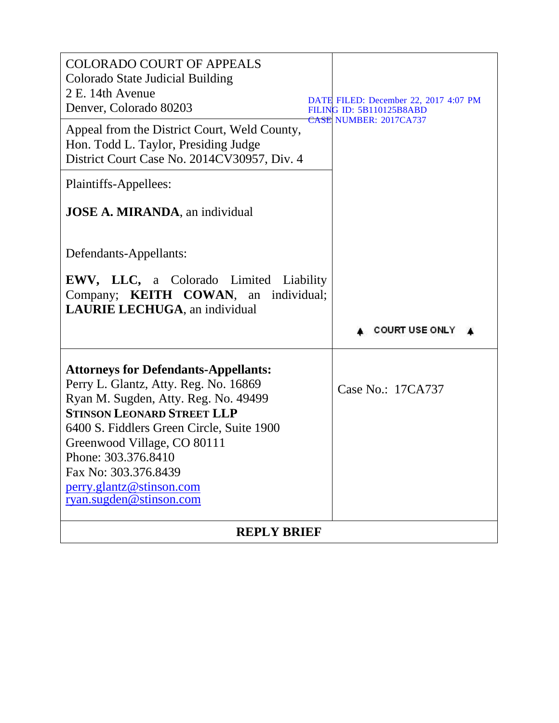| <b>EWV, LLC, a Colorado Limited Liability</b><br>Company; <b>KEITH COWAN</b> , an individual;                                       |                                                                                                           |
|-------------------------------------------------------------------------------------------------------------------------------------|-----------------------------------------------------------------------------------------------------------|
| Defendants-Appellants:                                                                                                              |                                                                                                           |
| <b>JOSE A. MIRANDA</b> , an individual                                                                                              |                                                                                                           |
| Plaintiffs-Appellees:                                                                                                               |                                                                                                           |
| Appeal from the District Court, Weld County,<br>Hon. Todd L. Taylor, Presiding Judge<br>District Court Case No. 2014CV30957, Div. 4 |                                                                                                           |
| <b>COLORADO COURT OF APPEALS</b><br>Colorado State Judicial Building<br>2 E. 14th Avenue<br>Denver, Colorado 80203                  | DATE FILED: December 22, 2017 4:07 PM<br><b>FILING ID: 5B110125B8ABD</b><br><b>CASE NUMBER: 2017CA737</b> |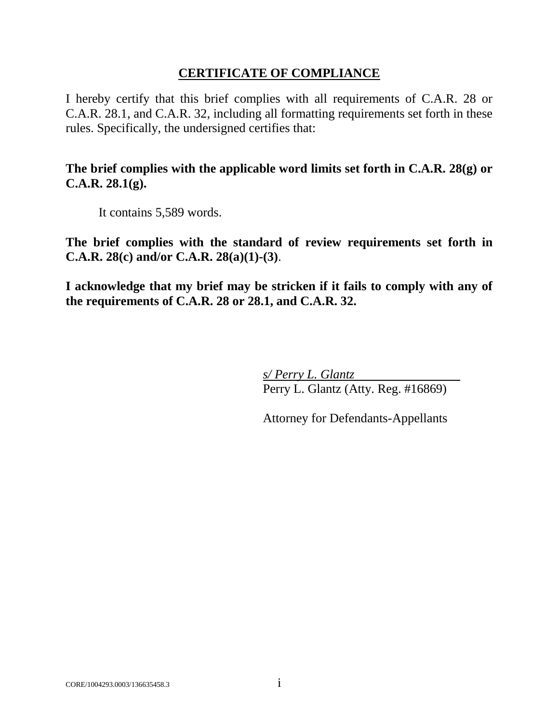### **CERTIFICATE OF COMPLIANCE**

<span id="page-1-0"></span>I hereby certify that this brief complies with all requirements of C.A.R. 28 or C.A.R. 28.1, and C.A.R. 32, including all formatting requirements set forth in these rules. Specifically, the undersigned certifies that:

**The brief complies with the applicable word limits set forth in C.A.R. 28(g) or C.A.R. 28.1(g).**

It contains 5,589 words.

**The brief complies with the standard of review requirements set forth in C.A.R. 28(c) and/or C.A.R. 28(a)(1)-(3)**.

**I acknowledge that my brief may be stricken if it fails to comply with any of the requirements of C.A.R. 28 or 28.1, and C.A.R. 32.**

> *s/ Perry L. Glantz* Perry L. Glantz (Atty. Reg. #16869)

> Attorney for Defendants-Appellants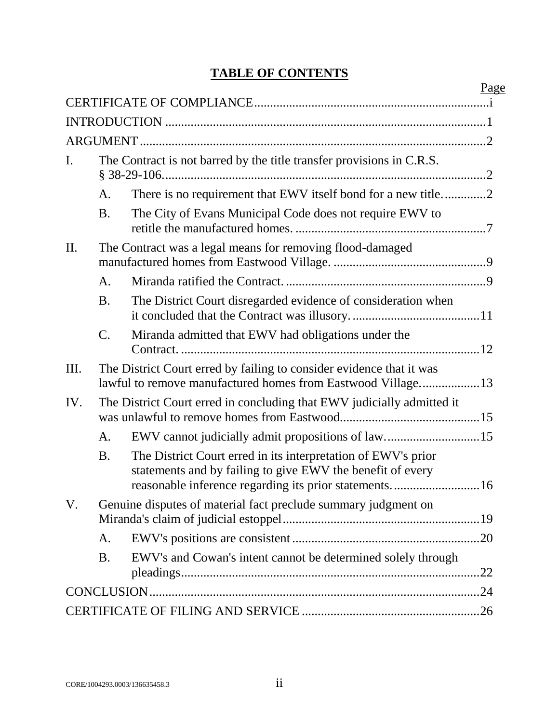# **TABLE OF CONTENTS**

|      |                 |                                                                                                                                                                                    | Page |
|------|-----------------|------------------------------------------------------------------------------------------------------------------------------------------------------------------------------------|------|
|      |                 |                                                                                                                                                                                    |      |
|      |                 |                                                                                                                                                                                    |      |
|      |                 |                                                                                                                                                                                    |      |
| I.   |                 | The Contract is not barred by the title transfer provisions in C.R.S.                                                                                                              |      |
|      | A.              |                                                                                                                                                                                    |      |
|      | <b>B.</b>       | The City of Evans Municipal Code does not require EWV to                                                                                                                           |      |
| Π.   |                 | The Contract was a legal means for removing flood-damaged                                                                                                                          |      |
|      | A.              |                                                                                                                                                                                    |      |
|      | <b>B.</b>       | The District Court disregarded evidence of consideration when                                                                                                                      |      |
|      | $\mathcal{C}$ . | Miranda admitted that EWV had obligations under the                                                                                                                                |      |
| III. |                 | The District Court erred by failing to consider evidence that it was<br>lawful to remove manufactured homes from Eastwood Village13                                                |      |
| IV.  |                 | The District Court erred in concluding that EWV judicially admitted it                                                                                                             |      |
|      | A.              | EWV cannot judicially admit propositions of law15                                                                                                                                  |      |
|      | <b>B.</b>       | The District Court erred in its interpretation of EWV's prior<br>statements and by failing to give EWV the benefit of every<br>reasonable inference regarding its prior statements | .16  |
| V.   |                 | Genuine disputes of material fact preclude summary judgment on                                                                                                                     |      |
|      | A.              |                                                                                                                                                                                    |      |
|      | <b>B.</b>       | EWV's and Cowan's intent cannot be determined solely through                                                                                                                       | .22  |
|      |                 |                                                                                                                                                                                    |      |
|      |                 |                                                                                                                                                                                    |      |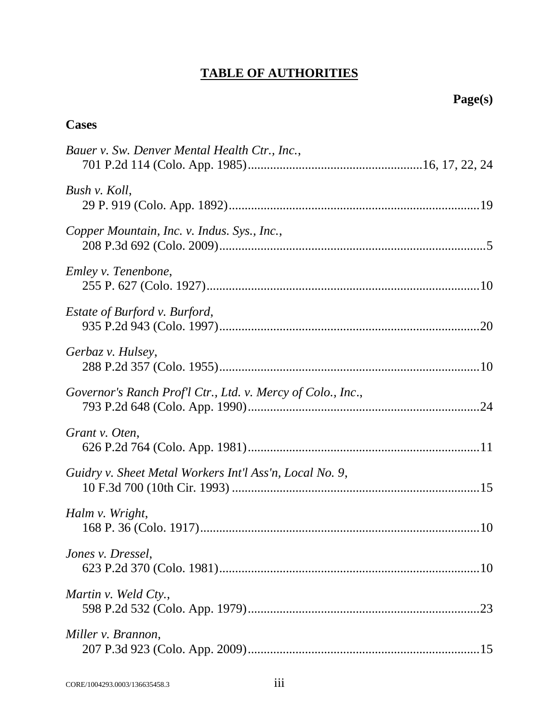# **TABLE OF AUTHORITIES**

# **Cases**

| Bauer v. Sw. Denver Mental Health Ctr., Inc.,               |
|-------------------------------------------------------------|
| Bush v. Koll,                                               |
| Copper Mountain, Inc. v. Indus. Sys., Inc.,                 |
| Emley v. Tenenbone,                                         |
| <i>Estate of Burford v. Burford,</i>                        |
| Gerbaz v. Hulsey,                                           |
| Governor's Ranch Prof'l Ctr., Ltd. v. Mercy of Colo., Inc., |
| Grant v. Oten,                                              |
| Guidry v. Sheet Metal Workers Int'l Ass'n, Local No. 9,     |
| Halm v. Wright,                                             |
| Jones v. Dressel,                                           |
| Martin v. Weld Cty.,                                        |
| Miller v. Brannon,                                          |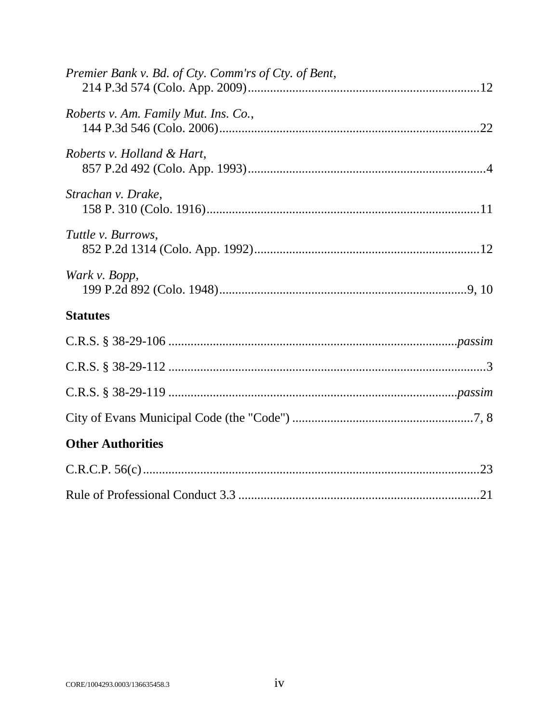| Premier Bank v. Bd. of Cty. Comm'rs of Cty. of Bent, |
|------------------------------------------------------|
| Roberts v. Am. Family Mut. Ins. Co.,                 |
| Roberts v. Holland & Hart,                           |
| Strachan v. Drake,                                   |
| Tuttle v. Burrows,                                   |
| Wark v. Bopp,                                        |
| <b>Statutes</b>                                      |
|                                                      |
|                                                      |
|                                                      |
|                                                      |
| <b>Other Authorities</b>                             |
|                                                      |
|                                                      |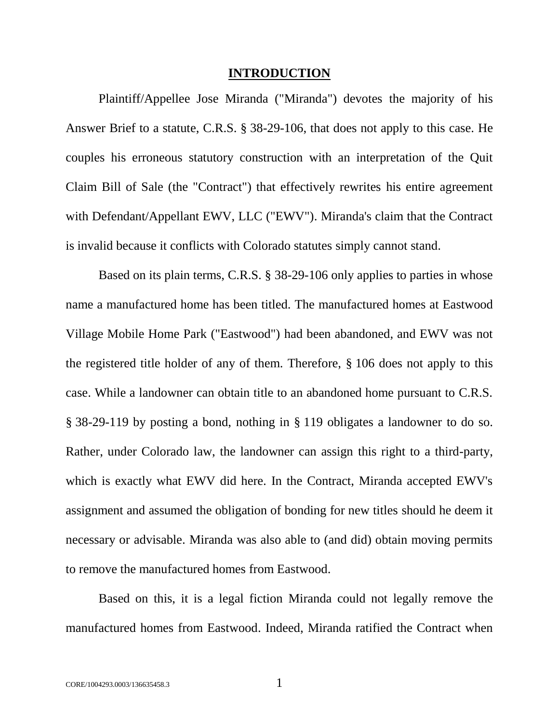#### <span id="page-5-1"></span>**INTRODUCTION**

<span id="page-5-0"></span>Plaintiff/Appellee Jose Miranda ("Miranda") devotes the majority of his Answer Brief to a statute, C.R.S. § 38-29-106, that does not apply to this case. He couples his erroneous statutory construction with an interpretation of the Quit Claim Bill of Sale (the "Contract") that effectively rewrites his entire agreement with Defendant/Appellant EWV, LLC ("EWV"). Miranda's claim that the Contract is invalid because it conflicts with Colorado statutes simply cannot stand.

Based on its plain terms, C.R.S. § 38-29-106 only applies to parties in whose name a manufactured home has been titled. The manufactured homes at Eastwood Village Mobile Home Park ("Eastwood") had been abandoned, and EWV was not the registered title holder of any of them. Therefore, § 106 does not apply to this case. While a landowner can obtain title to an abandoned home pursuant to C.R.S. § 38-29-119 by posting a bond, nothing in § 119 obligates a landowner to do so. Rather, under Colorado law, the landowner can assign this right to a third-party, which is exactly what EWV did here. In the Contract, Miranda accepted EWV's assignment and assumed the obligation of bonding for new titles should he deem it necessary or advisable. Miranda was also able to (and did) obtain moving permits to remove the manufactured homes from Eastwood.

Based on this, it is a legal fiction Miranda could not legally remove the manufactured homes from Eastwood. Indeed, Miranda ratified the Contract when

<span id="page-5-2"></span>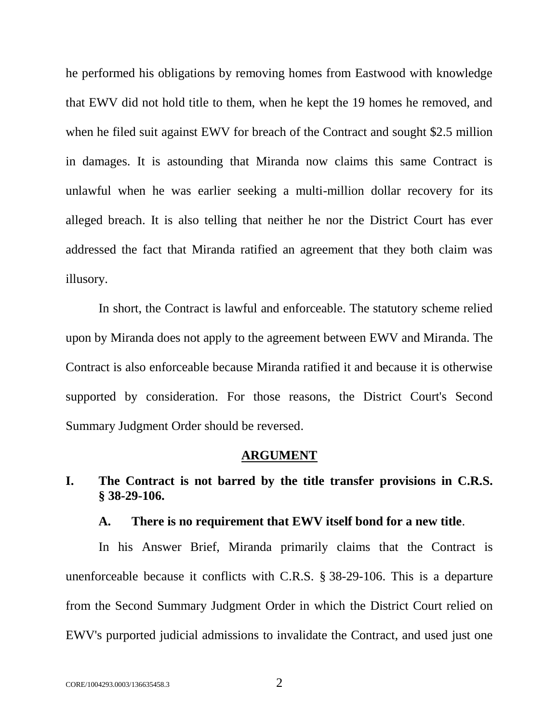he performed his obligations by removing homes from Eastwood with knowledge that EWV did not hold title to them, when he kept the 19 homes he removed, and when he filed suit against EWV for breach of the Contract and sought \$2.5 million in damages. It is astounding that Miranda now claims this same Contract is unlawful when he was earlier seeking a multi-million dollar recovery for its alleged breach. It is also telling that neither he nor the District Court has ever addressed the fact that Miranda ratified an agreement that they both claim was illusory.

In short, the Contract is lawful and enforceable. The statutory scheme relied upon by Miranda does not apply to the agreement between EWV and Miranda. The Contract is also enforceable because Miranda ratified it and because it is otherwise supported by consideration. For those reasons, the District Court's Second Summary Judgment Order should be reversed.

### **ARGUMENT**

# <span id="page-6-1"></span><span id="page-6-0"></span>**I. The Contract is not barred by the title transfer provisions in C.R.S. § 38-29-106.**

### **A. There is no requirement that EWV itself bond for a new title**.

<span id="page-6-2"></span>In his Answer Brief, Miranda primarily claims that the Contract is unenforceable because it conflicts with C.R.S. § 38-29-106. This is a departure from the Second Summary Judgment Order in which the District Court relied on EWV's purported judicial admissions to invalidate the Contract, and used just one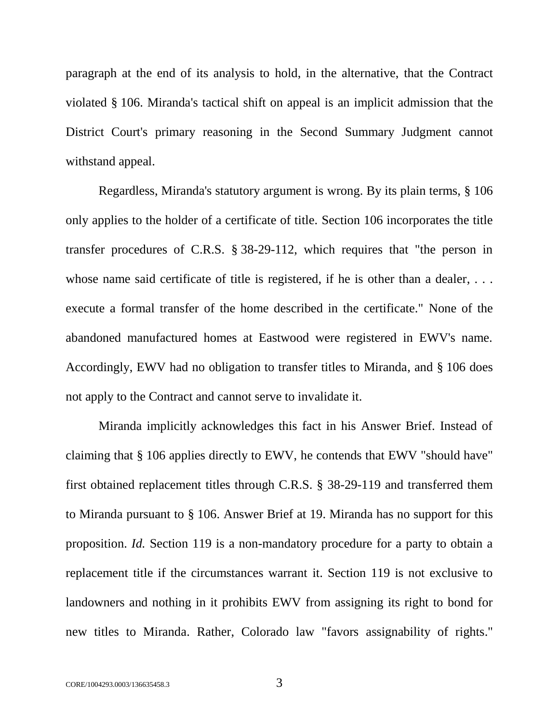paragraph at the end of its analysis to hold, in the alternative, that the Contract violated § 106. Miranda's tactical shift on appeal is an implicit admission that the District Court's primary reasoning in the Second Summary Judgment cannot withstand appeal.

<span id="page-7-0"></span>Regardless, Miranda's statutory argument is wrong. By its plain terms, § 106 only applies to the holder of a certificate of title. Section 106 incorporates the title transfer procedures of C.R.S. § 38-29-112, which requires that "the person in whose name said certificate of title is registered, if he is other than a dealer, ... execute a formal transfer of the home described in the certificate." None of the abandoned manufactured homes at Eastwood were registered in EWV's name. Accordingly, EWV had no obligation to transfer titles to Miranda, and § 106 does not apply to the Contract and cannot serve to invalidate it.

Miranda implicitly acknowledges this fact in his Answer Brief. Instead of claiming that § 106 applies directly to EWV, he contends that EWV "should have" first obtained replacement titles through C.R.S. § 38-29-119 and transferred them to Miranda pursuant to § 106. Answer Brief at 19. Miranda has no support for this proposition. *Id.* Section 119 is a non-mandatory procedure for a party to obtain a replacement title if the circumstances warrant it. Section 119 is not exclusive to landowners and nothing in it prohibits EWV from assigning its right to bond for new titles to Miranda. Rather, Colorado law "favors assignability of rights."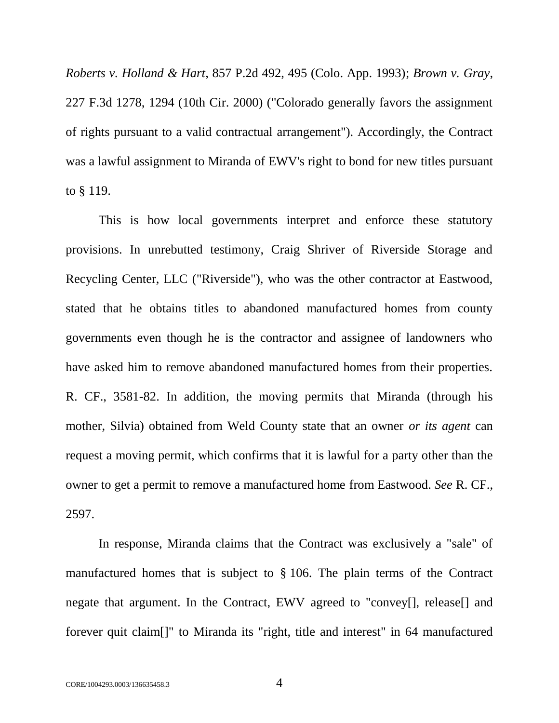<span id="page-8-0"></span>*Roberts v. Holland & Hart*, 857 P.2d 492, 495 (Colo. App. 1993); *Brown v. Gray*, 227 F.3d 1278, 1294 (10th Cir. 2000) ("Colorado generally favors the assignment of rights pursuant to a valid contractual arrangement"). Accordingly, the Contract was a lawful assignment to Miranda of EWV's right to bond for new titles pursuant to § 119.

This is how local governments interpret and enforce these statutory provisions. In unrebutted testimony, Craig Shriver of Riverside Storage and Recycling Center, LLC ("Riverside"), who was the other contractor at Eastwood, stated that he obtains titles to abandoned manufactured homes from county governments even though he is the contractor and assignee of landowners who have asked him to remove abandoned manufactured homes from their properties. R. CF., 3581-82. In addition, the moving permits that Miranda (through his mother, Silvia) obtained from Weld County state that an owner *or its agent* can request a moving permit, which confirms that it is lawful for a party other than the owner to get a permit to remove a manufactured home from Eastwood. *See* R. CF., 2597.

In response, Miranda claims that the Contract was exclusively a "sale" of manufactured homes that is subject to § 106. The plain terms of the Contract negate that argument. In the Contract, EWV agreed to "convey[], release[] and forever quit claim[]" to Miranda its "right, title and interest" in 64 manufactured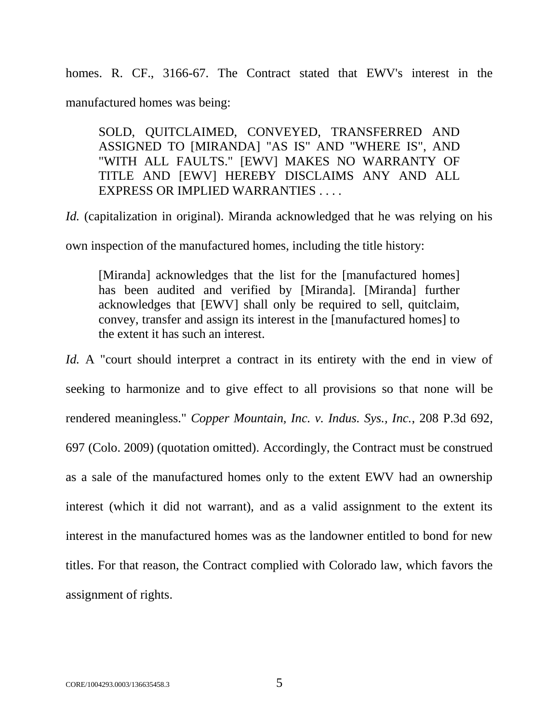homes. R. CF., 3166-67. The Contract stated that EWV's interest in the manufactured homes was being:

SOLD, QUITCLAIMED, CONVEYED, TRANSFERRED AND ASSIGNED TO [MIRANDA] "AS IS" AND "WHERE IS", AND "WITH ALL FAULTS." [EWV] MAKES NO WARRANTY OF TITLE AND [EWV] HEREBY DISCLAIMS ANY AND ALL EXPRESS OR IMPLIED WARRANTIES . . . .

*Id.* (capitalization in original). Miranda acknowledged that he was relying on his

own inspection of the manufactured homes, including the title history:

[Miranda] acknowledges that the list for the [manufactured homes] has been audited and verified by [Miranda]. [Miranda] further acknowledges that [EWV] shall only be required to sell, quitclaim, convey, transfer and assign its interest in the [manufactured homes] to the extent it has such an interest.

<span id="page-9-0"></span>*Id.* A "court should interpret a contract in its entirety with the end in view of seeking to harmonize and to give effect to all provisions so that none will be rendered meaningless." *Copper Mountain, Inc. v. Indus. Sys., Inc.*, 208 P.3d 692, 697 (Colo. 2009) (quotation omitted). Accordingly, the Contract must be construed as a sale of the manufactured homes only to the extent EWV had an ownership interest (which it did not warrant), and as a valid assignment to the extent its interest in the manufactured homes was as the landowner entitled to bond for new titles. For that reason, the Contract complied with Colorado law, which favors the assignment of rights.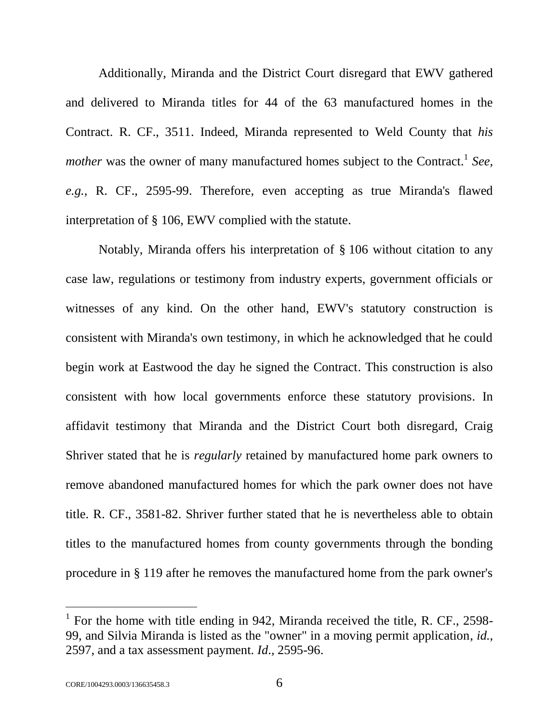Additionally, Miranda and the District Court disregard that EWV gathered and delivered to Miranda titles for 44 of the 63 manufactured homes in the Contract. R. CF., 3511. Indeed, Miranda represented to Weld County that *his mother* was the owner of many manufactured homes subject to the Contract.<sup>1</sup> See, *e.g.,* R. CF., 2595-99. Therefore, even accepting as true Miranda's flawed interpretation of § 106, EWV complied with the statute.

Notably, Miranda offers his interpretation of § 106 without citation to any case law, regulations or testimony from industry experts, government officials or witnesses of any kind. On the other hand, EWV's statutory construction is consistent with Miranda's own testimony, in which he acknowledged that he could begin work at Eastwood the day he signed the Contract. This construction is also consistent with how local governments enforce these statutory provisions. In affidavit testimony that Miranda and the District Court both disregard, Craig Shriver stated that he is *regularly* retained by manufactured home park owners to remove abandoned manufactured homes for which the park owner does not have title. R. CF., 3581-82. Shriver further stated that he is nevertheless able to obtain titles to the manufactured homes from county governments through the bonding procedure in § 119 after he removes the manufactured home from the park owner's

 $\overline{a}$ 

<sup>&</sup>lt;sup>1</sup> For the home with title ending in 942, Miranda received the title, R. CF., 2598-99, and Silvia Miranda is listed as the "owner" in a moving permit application, *id.*, 2597, and a tax assessment payment. *Id*.*,* 2595-96.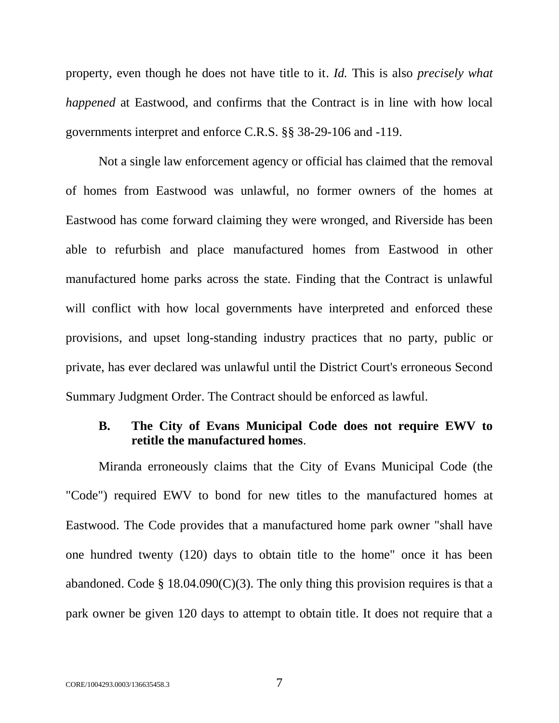property, even though he does not have title to it. *Id.* This is also *precisely what happened* at Eastwood, and confirms that the Contract is in line with how local governments interpret and enforce C.R.S. §§ 38-29-106 and -119.

Not a single law enforcement agency or official has claimed that the removal of homes from Eastwood was unlawful, no former owners of the homes at Eastwood has come forward claiming they were wronged, and Riverside has been able to refurbish and place manufactured homes from Eastwood in other manufactured home parks across the state. Finding that the Contract is unlawful will conflict with how local governments have interpreted and enforced these provisions, and upset long-standing industry practices that no party, public or private, has ever declared was unlawful until the District Court's erroneous Second Summary Judgment Order. The Contract should be enforced as lawful.

### <span id="page-11-1"></span><span id="page-11-0"></span>**B. The City of Evans Municipal Code does not require EWV to retitle the manufactured homes**.

Miranda erroneously claims that the City of Evans Municipal Code (the "Code") required EWV to bond for new titles to the manufactured homes at Eastwood. The Code provides that a manufactured home park owner "shall have one hundred twenty (120) days to obtain title to the home" once it has been abandoned. Code § 18.04.090(C)(3). The only thing this provision requires is that a park owner be given 120 days to attempt to obtain title. It does not require that a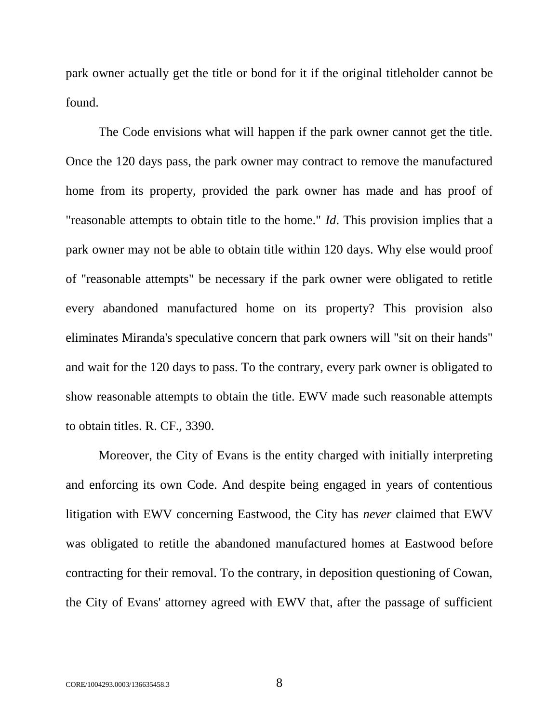park owner actually get the title or bond for it if the original titleholder cannot be found.

<span id="page-12-0"></span>The Code envisions what will happen if the park owner cannot get the title. Once the 120 days pass, the park owner may contract to remove the manufactured home from its property, provided the park owner has made and has proof of "reasonable attempts to obtain title to the home." *Id*. This provision implies that a park owner may not be able to obtain title within 120 days. Why else would proof of "reasonable attempts" be necessary if the park owner were obligated to retitle every abandoned manufactured home on its property? This provision also eliminates Miranda's speculative concern that park owners will "sit on their hands" and wait for the 120 days to pass. To the contrary, every park owner is obligated to show reasonable attempts to obtain the title. EWV made such reasonable attempts to obtain titles. R. CF., 3390.

Moreover, the City of Evans is the entity charged with initially interpreting and enforcing its own Code. And despite being engaged in years of contentious litigation with EWV concerning Eastwood, the City has *never* claimed that EWV was obligated to retitle the abandoned manufactured homes at Eastwood before contracting for their removal. To the contrary, in deposition questioning of Cowan, the City of Evans' attorney agreed with EWV that, after the passage of sufficient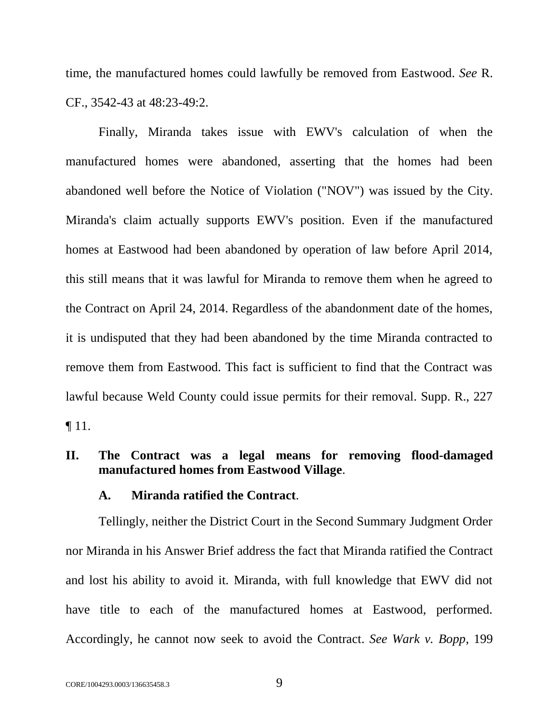time, the manufactured homes could lawfully be removed from Eastwood. *See* R. CF., 3542-43 at 48:23-49:2.

Finally, Miranda takes issue with EWV's calculation of when the manufactured homes were abandoned, asserting that the homes had been abandoned well before the Notice of Violation ("NOV") was issued by the City. Miranda's claim actually supports EWV's position. Even if the manufactured homes at Eastwood had been abandoned by operation of law before April 2014, this still means that it was lawful for Miranda to remove them when he agreed to the Contract on April 24, 2014. Regardless of the abandonment date of the homes, it is undisputed that they had been abandoned by the time Miranda contracted to remove them from Eastwood. This fact is sufficient to find that the Contract was lawful because Weld County could issue permits for their removal. Supp. R., 227 ¶ 11.

## <span id="page-13-0"></span>**II. The Contract was a legal means for removing flood-damaged manufactured homes from Eastwood Village**.

### <span id="page-13-2"></span>**A. Miranda ratified the Contract**.

<span id="page-13-1"></span>Tellingly, neither the District Court in the Second Summary Judgment Order nor Miranda in his Answer Brief address the fact that Miranda ratified the Contract and lost his ability to avoid it. Miranda, with full knowledge that EWV did not have title to each of the manufactured homes at Eastwood, performed. Accordingly, he cannot now seek to avoid the Contract. *See Wark v. Bopp*, 199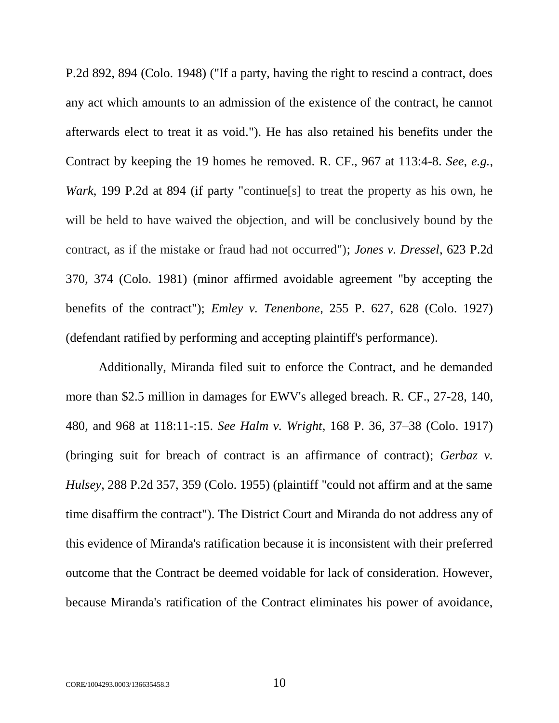<span id="page-14-4"></span>P.2d 892, 894 (Colo. 1948) ("If a party, having the right to rescind a contract, does any act which amounts to an admission of the existence of the contract, he cannot afterwards elect to treat it as void."). He has also retained his benefits under the Contract by keeping the 19 homes he removed. R. CF., 967 at 113:4-8. *See, e.g.*, *Wark*, 199 P.2d at 894 (if party "continue[s] to treat the property as his own, he will be held to have waived the objection, and will be conclusively bound by the contract, as if the mistake or fraud had not occurred"); *Jones v. Dressel*, 623 P.2d 370, 374 (Colo. 1981) (minor affirmed avoidable agreement "by accepting the benefits of the contract"); *Emley v. Tenenbone*, 255 P. 627, 628 (Colo. 1927) (defendant ratified by performing and accepting plaintiff's performance).

<span id="page-14-3"></span><span id="page-14-2"></span><span id="page-14-1"></span><span id="page-14-0"></span>Additionally, Miranda filed suit to enforce the Contract, and he demanded more than \$2.5 million in damages for EWV's alleged breach. R. CF., 27-28, 140, 480, and 968 at 118:11-:15. *See Halm v. Wright*, 168 P. 36, 37–38 (Colo. 1917) (bringing suit for breach of contract is an affirmance of contract); *Gerbaz v. Hulsey*, 288 P.2d 357, 359 (Colo. 1955) (plaintiff "could not affirm and at the same time disaffirm the contract"). The District Court and Miranda do not address any of this evidence of Miranda's ratification because it is inconsistent with their preferred outcome that the Contract be deemed voidable for lack of consideration. However, because Miranda's ratification of the Contract eliminates his power of avoidance,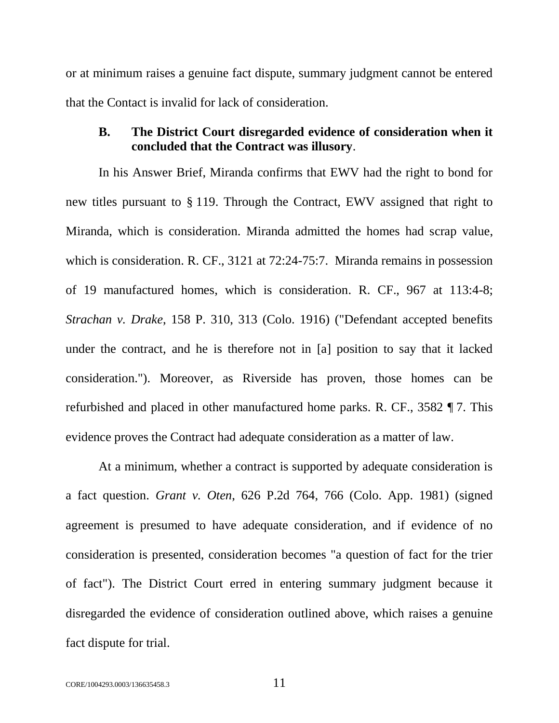or at minimum raises a genuine fact dispute, summary judgment cannot be entered that the Contact is invalid for lack of consideration.

### <span id="page-15-0"></span>**B. The District Court disregarded evidence of consideration when it concluded that the Contract was illusory**.

<span id="page-15-2"></span>In his Answer Brief, Miranda confirms that EWV had the right to bond for new titles pursuant to § 119. Through the Contract, EWV assigned that right to Miranda, which is consideration. Miranda admitted the homes had scrap value, which is consideration. R. CF., 3121 at 72:24-75:7. Miranda remains in possession of 19 manufactured homes, which is consideration. R. CF., 967 at 113:4-8; *Strachan v. Drake*, 158 P. 310, 313 (Colo. 1916) ("Defendant accepted benefits under the contract, and he is therefore not in [a] position to say that it lacked consideration."). Moreover, as Riverside has proven, those homes can be refurbished and placed in other manufactured home parks. R. CF., 3582 ¶ 7. This evidence proves the Contract had adequate consideration as a matter of law.

<span id="page-15-1"></span>At a minimum, whether a contract is supported by adequate consideration is a fact question. *Grant v. Oten*, 626 P.2d 764, 766 (Colo. App. 1981) (signed agreement is presumed to have adequate consideration, and if evidence of no consideration is presented, consideration becomes "a question of fact for the trier of fact"). The District Court erred in entering summary judgment because it disregarded the evidence of consideration outlined above, which raises a genuine fact dispute for trial.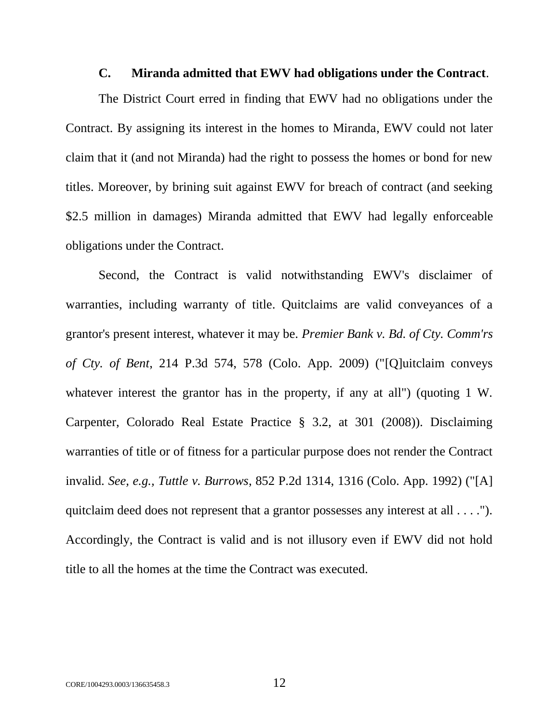### **C. Miranda admitted that EWV had obligations under the Contract**.

<span id="page-16-0"></span>The District Court erred in finding that EWV had no obligations under the Contract. By assigning its interest in the homes to Miranda, EWV could not later claim that it (and not Miranda) had the right to possess the homes or bond for new titles. Moreover, by brining suit against EWV for breach of contract (and seeking \$2.5 million in damages) Miranda admitted that EWV had legally enforceable obligations under the Contract.

<span id="page-16-2"></span><span id="page-16-1"></span>Second, the Contract is valid notwithstanding EWV's disclaimer of warranties, including warranty of title. Quitclaims are valid conveyances of a grantor's present interest, whatever it may be. *Premier Bank v. Bd. of Cty. Comm'rs of Cty. of Bent*, 214 P.3d 574, 578 (Colo. App. 2009) ("[Q]uitclaim conveys whatever interest the grantor has in the property, if any at all") (quoting 1 W. Carpenter, Colorado Real Estate Practice § 3.2, at 301 (2008)). Disclaiming warranties of title or of fitness for a particular purpose does not render the Contract invalid. *See, e.g., Tuttle v. Burrows*, 852 P.2d 1314, 1316 (Colo. App. 1992) ("[A] quitclaim deed does not represent that a grantor possesses any interest at all . . . ."). Accordingly, the Contract is valid and is not illusory even if EWV did not hold title to all the homes at the time the Contract was executed.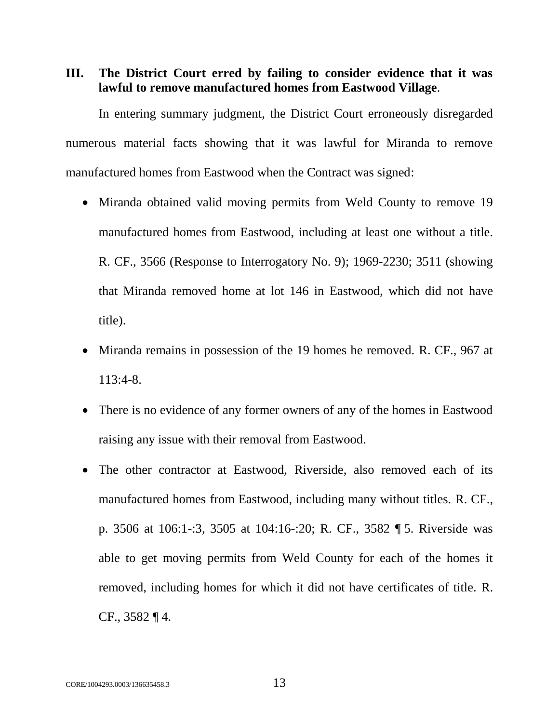<span id="page-17-0"></span>**III. The District Court erred by failing to consider evidence that it was lawful to remove manufactured homes from Eastwood Village**.

In entering summary judgment, the District Court erroneously disregarded numerous material facts showing that it was lawful for Miranda to remove manufactured homes from Eastwood when the Contract was signed:

- Miranda obtained valid moving permits from Weld County to remove 19 manufactured homes from Eastwood, including at least one without a title. R. CF., 3566 (Response to Interrogatory No. 9); 1969-2230; 3511 (showing that Miranda removed home at lot 146 in Eastwood, which did not have title).
- Miranda remains in possession of the 19 homes he removed. R. CF., 967 at 113:4-8.
- There is no evidence of any former owners of any of the homes in Eastwood raising any issue with their removal from Eastwood.
- The other contractor at Eastwood, Riverside, also removed each of its manufactured homes from Eastwood, including many without titles. R. CF., p. 3506 at 106:1-:3, 3505 at 104:16-:20; R. CF., 3582 ¶ 5. Riverside was able to get moving permits from Weld County for each of the homes it removed, including homes for which it did not have certificates of title. R. CF.,  $3582 \text{ } \text{\ensuremath{\mathsf{I}}}\text{\ensuremath{\mathsf{I}}}$  4.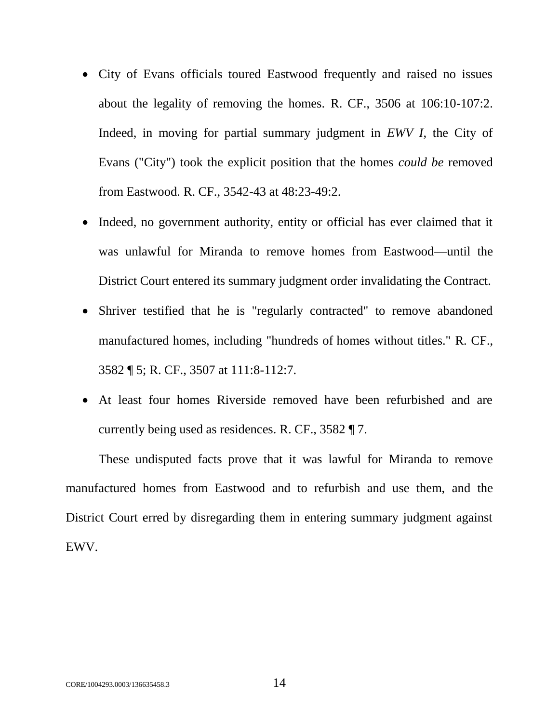- City of Evans officials toured Eastwood frequently and raised no issues about the legality of removing the homes. R. CF., 3506 at 106:10-107:2. Indeed, in moving for partial summary judgment in *EWV I*, the City of Evans ("City") took the explicit position that the homes *could be* removed from Eastwood. R. CF., 3542-43 at 48:23-49:2.
- Indeed, no government authority, entity or official has ever claimed that it was unlawful for Miranda to remove homes from Eastwood—until the District Court entered its summary judgment order invalidating the Contract.
- Shriver testified that he is "regularly contracted" to remove abandoned manufactured homes, including "hundreds of homes without titles." R. CF., 3582 ¶ 5; R. CF., 3507 at 111:8-112:7.
- At least four homes Riverside removed have been refurbished and are currently being used as residences. R. CF., 3582 ¶ 7.

These undisputed facts prove that it was lawful for Miranda to remove manufactured homes from Eastwood and to refurbish and use them, and the District Court erred by disregarding them in entering summary judgment against EWV.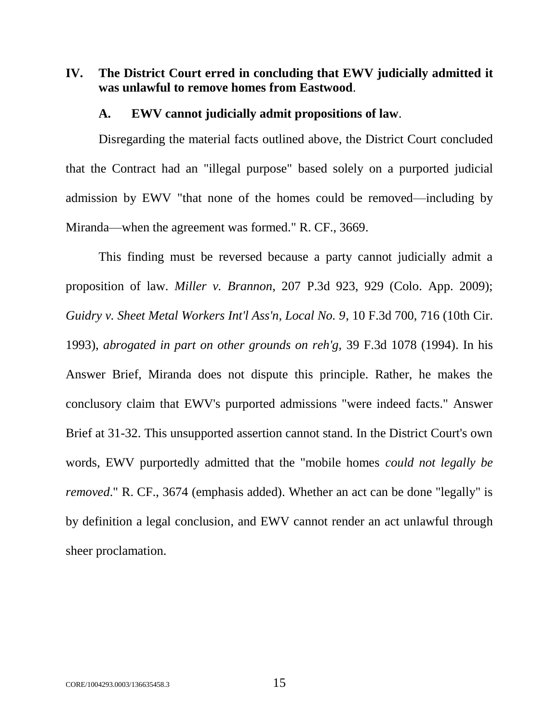## <span id="page-19-0"></span>**IV. The District Court erred in concluding that EWV judicially admitted it was unlawful to remove homes from Eastwood**.

#### **A. EWV cannot judicially admit propositions of law**.

<span id="page-19-1"></span>Disregarding the material facts outlined above, the District Court concluded that the Contract had an "illegal purpose" based solely on a purported judicial admission by EWV "that none of the homes could be removed—including by Miranda—when the agreement was formed." R. CF., 3669.

<span id="page-19-3"></span><span id="page-19-2"></span>This finding must be reversed because a party cannot judicially admit a proposition of law. *Miller v. Brannon*, 207 P.3d 923, 929 (Colo. App. 2009); *Guidry v. Sheet Metal Workers Int'l Ass'n, Local No. 9*, 10 F.3d 700, 716 (10th Cir. 1993), *abrogated in part on other grounds on reh'g,* 39 F.3d 1078 (1994). In his Answer Brief, Miranda does not dispute this principle. Rather, he makes the conclusory claim that EWV's purported admissions "were indeed facts." Answer Brief at 31-32. This unsupported assertion cannot stand. In the District Court's own words, EWV purportedly admitted that the "mobile homes *could not legally be removed*." R. CF., 3674 (emphasis added). Whether an act can be done "legally" is by definition a legal conclusion, and EWV cannot render an act unlawful through sheer proclamation.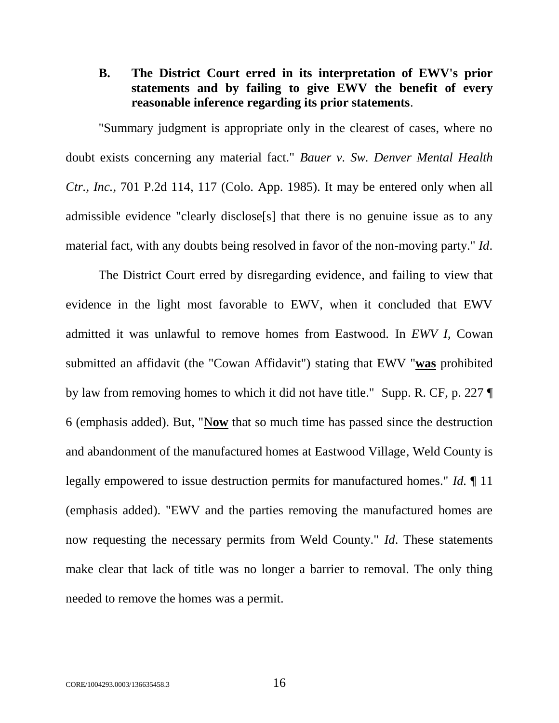### <span id="page-20-1"></span><span id="page-20-0"></span>**B. The District Court erred in its interpretation of EWV's prior statements and by failing to give EWV the benefit of every reasonable inference regarding its prior statements**.

"Summary judgment is appropriate only in the clearest of cases, where no doubt exists concerning any material fact." *Bauer v. Sw. Denver Mental Health Ctr., Inc.*, 701 P.2d 114, 117 (Colo. App. 1985). It may be entered only when all admissible evidence "clearly disclose[s] that there is no genuine issue as to any material fact, with any doubts being resolved in favor of the non-moving party." *Id*.

The District Court erred by disregarding evidence, and failing to view that evidence in the light most favorable to EWV, when it concluded that EWV admitted it was unlawful to remove homes from Eastwood. In *EWV I*, Cowan submitted an affidavit (the "Cowan Affidavit") stating that EWV "**was** prohibited by law from removing homes to which it did not have title." Supp. R. CF, p. 227 ¶ 6 (emphasis added). But, "N**ow** that so much time has passed since the destruction and abandonment of the manufactured homes at Eastwood Village, Weld County is legally empowered to issue destruction permits for manufactured homes." *Id.* ¶ 11 (emphasis added). "EWV and the parties removing the manufactured homes are now requesting the necessary permits from Weld County." *Id*. These statements make clear that lack of title was no longer a barrier to removal. The only thing needed to remove the homes was a permit.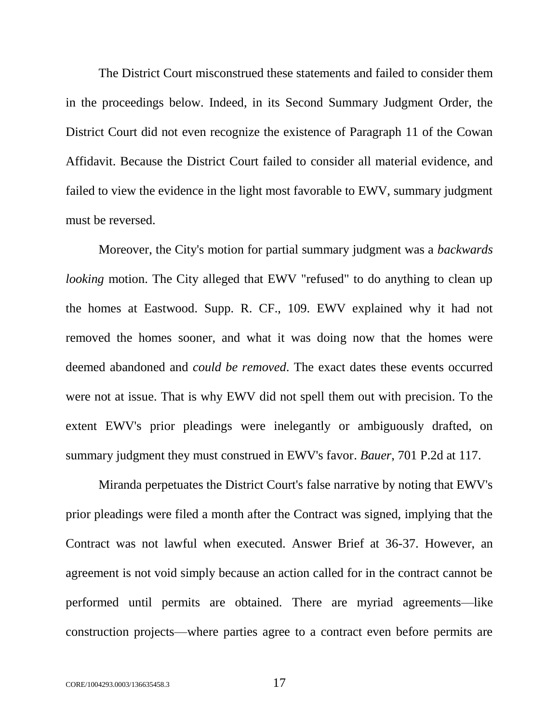The District Court misconstrued these statements and failed to consider them in the proceedings below. Indeed, in its Second Summary Judgment Order, the District Court did not even recognize the existence of Paragraph 11 of the Cowan Affidavit. Because the District Court failed to consider all material evidence, and failed to view the evidence in the light most favorable to EWV, summary judgment must be reversed.

Moreover, the City's motion for partial summary judgment was a *backwards looking* motion. The City alleged that EWV "refused" to do anything to clean up the homes at Eastwood. Supp. R. CF., 109. EWV explained why it had not removed the homes sooner, and what it was doing now that the homes were deemed abandoned and *could be removed*. The exact dates these events occurred were not at issue. That is why EWV did not spell them out with precision. To the extent EWV's prior pleadings were inelegantly or ambiguously drafted, on summary judgment they must construed in EWV's favor. *Bauer*, 701 P.2d at 117.

<span id="page-21-0"></span>Miranda perpetuates the District Court's false narrative by noting that EWV's prior pleadings were filed a month after the Contract was signed, implying that the Contract was not lawful when executed. Answer Brief at 36-37. However, an agreement is not void simply because an action called for in the contract cannot be performed until permits are obtained. There are myriad agreements—like construction projects—where parties agree to a contract even before permits are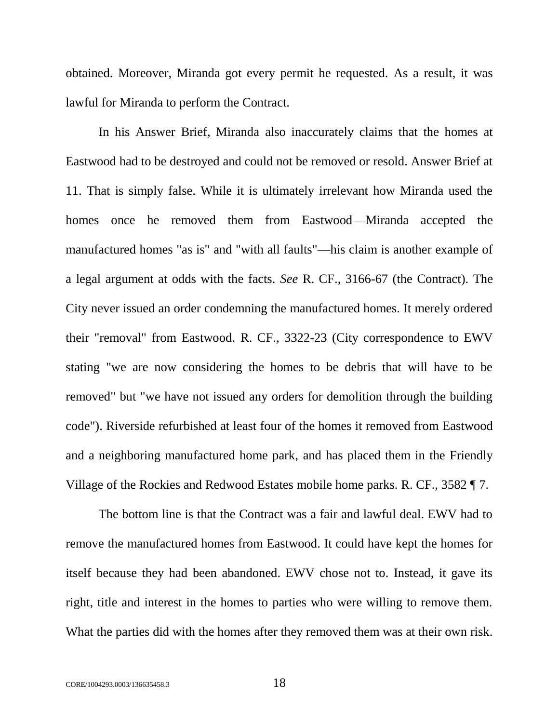obtained. Moreover, Miranda got every permit he requested. As a result, it was lawful for Miranda to perform the Contract.

In his Answer Brief, Miranda also inaccurately claims that the homes at Eastwood had to be destroyed and could not be removed or resold. Answer Brief at 11. That is simply false. While it is ultimately irrelevant how Miranda used the homes once he removed them from Eastwood—Miranda accepted the manufactured homes "as is" and "with all faults"—his claim is another example of a legal argument at odds with the facts. *See* R. CF., 3166-67 (the Contract). The City never issued an order condemning the manufactured homes. It merely ordered their "removal" from Eastwood. R. CF., 3322-23 (City correspondence to EWV stating "we are now considering the homes to be debris that will have to be removed" but "we have not issued any orders for demolition through the building code"). Riverside refurbished at least four of the homes it removed from Eastwood and a neighboring manufactured home park, and has placed them in the Friendly Village of the Rockies and Redwood Estates mobile home parks. R. CF., 3582 ¶ 7.

The bottom line is that the Contract was a fair and lawful deal. EWV had to remove the manufactured homes from Eastwood. It could have kept the homes for itself because they had been abandoned. EWV chose not to. Instead, it gave its right, title and interest in the homes to parties who were willing to remove them. What the parties did with the homes after they removed them was at their own risk.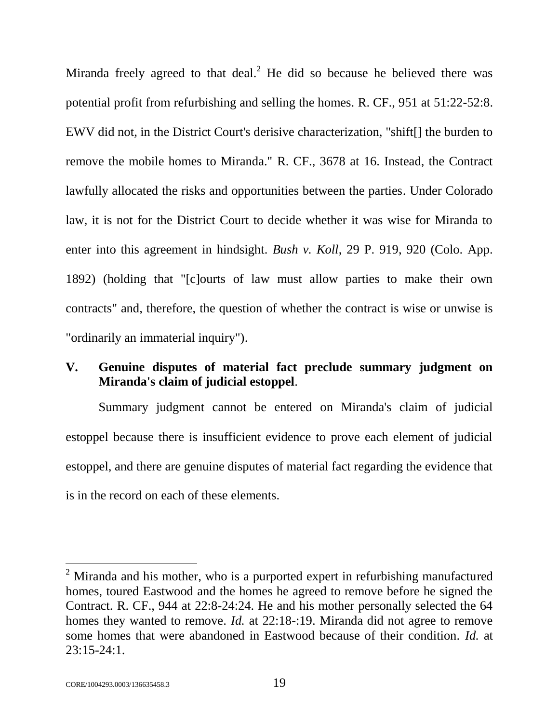Miranda freely agreed to that deal.<sup>2</sup> He did so because he believed there was potential profit from refurbishing and selling the homes. R. CF., 951 at 51:22-52:8. EWV did not, in the District Court's derisive characterization, "shift[] the burden to remove the mobile homes to Miranda." R. CF., 3678 at 16. Instead, the Contract lawfully allocated the risks and opportunities between the parties. Under Colorado law, it is not for the District Court to decide whether it was wise for Miranda to enter into this agreement in hindsight. *Bush v. Koll*, 29 P. 919, 920 (Colo. App. 1892) (holding that "[c]ourts of law must allow parties to make their own contracts" and, therefore, the question of whether the contract is wise or unwise is "ordinarily an immaterial inquiry").

# <span id="page-23-1"></span><span id="page-23-0"></span>**V. Genuine disputes of material fact preclude summary judgment on Miranda's claim of judicial estoppel**.

Summary judgment cannot be entered on Miranda's claim of judicial estoppel because there is insufficient evidence to prove each element of judicial estoppel, and there are genuine disputes of material fact regarding the evidence that is in the record on each of these elements.

l

<sup>&</sup>lt;sup>2</sup> Miranda and his mother, who is a purported expert in refurbishing manufactured homes, toured Eastwood and the homes he agreed to remove before he signed the Contract. R. CF., 944 at 22:8-24:24. He and his mother personally selected the 64 homes they wanted to remove. *Id.* at 22:18-:19. Miranda did not agree to remove some homes that were abandoned in Eastwood because of their condition. *Id.* at  $23:15-24:1$ .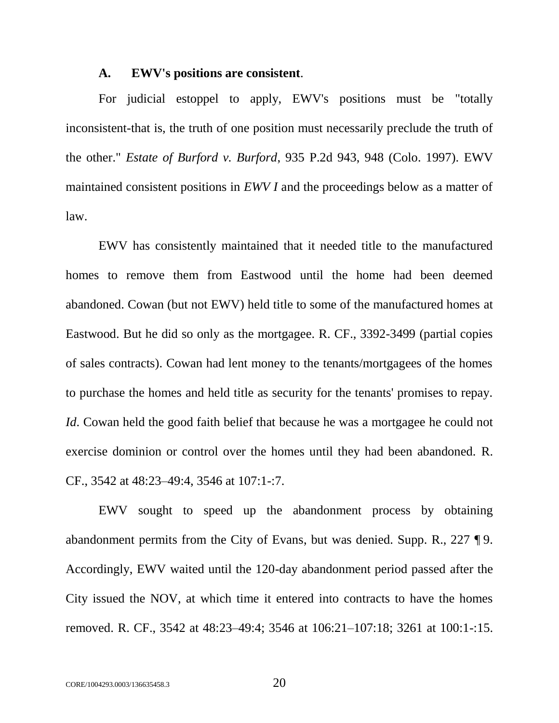#### <span id="page-24-1"></span>**A. EWV's positions are consistent**.

<span id="page-24-0"></span>For judicial estoppel to apply, EWV's positions must be "totally inconsistent-that is, the truth of one position must necessarily preclude the truth of the other." *Estate of Burford v. Burford*, 935 P.2d 943, 948 (Colo. 1997). EWV maintained consistent positions in *EWV I* and the proceedings below as a matter of law.

EWV has consistently maintained that it needed title to the manufactured homes to remove them from Eastwood until the home had been deemed abandoned. Cowan (but not EWV) held title to some of the manufactured homes at Eastwood. But he did so only as the mortgagee. R. CF., 3392-3499 (partial copies of sales contracts). Cowan had lent money to the tenants/mortgagees of the homes to purchase the homes and held title as security for the tenants' promises to repay. *Id*. Cowan held the good faith belief that because he was a mortgagee he could not exercise dominion or control over the homes until they had been abandoned. R. CF., 3542 at 48:23–49:4, 3546 at 107:1-:7.

EWV sought to speed up the abandonment process by obtaining abandonment permits from the City of Evans, but was denied. Supp. R., 227 ¶ 9. Accordingly, EWV waited until the 120-day abandonment period passed after the City issued the NOV, at which time it entered into contracts to have the homes removed. R. CF., 3542 at 48:23–49:4; 3546 at 106:21–107:18; 3261 at 100:1-:15.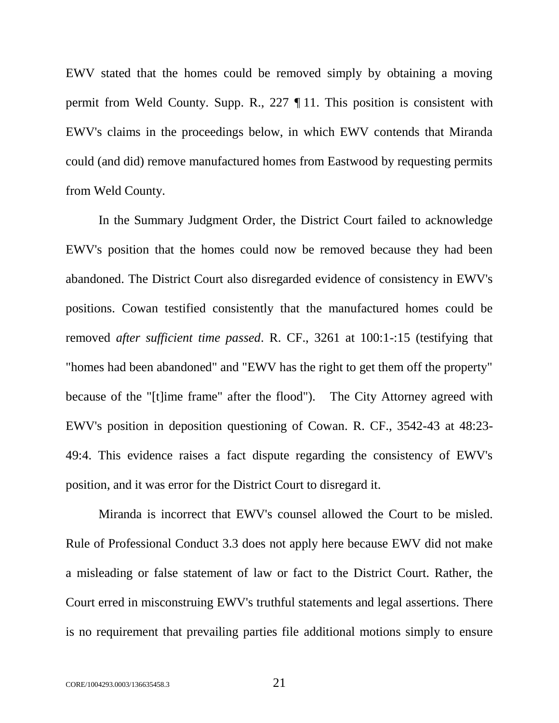EWV stated that the homes could be removed simply by obtaining a moving permit from Weld County. Supp. R., 227 ¶ 11. This position is consistent with EWV's claims in the proceedings below, in which EWV contends that Miranda could (and did) remove manufactured homes from Eastwood by requesting permits from Weld County.

In the Summary Judgment Order, the District Court failed to acknowledge EWV's position that the homes could now be removed because they had been abandoned. The District Court also disregarded evidence of consistency in EWV's positions. Cowan testified consistently that the manufactured homes could be removed *after sufficient time passed*. R. CF., 3261 at 100:1-:15 (testifying that "homes had been abandoned" and "EWV has the right to get them off the property" because of the "[t]ime frame" after the flood"). The City Attorney agreed with EWV's position in deposition questioning of Cowan. R. CF., 3542-43 at 48:23- 49:4. This evidence raises a fact dispute regarding the consistency of EWV's position, and it was error for the District Court to disregard it.

<span id="page-25-0"></span>Miranda is incorrect that EWV's counsel allowed the Court to be misled. Rule of Professional Conduct 3.3 does not apply here because EWV did not make a misleading or false statement of law or fact to the District Court. Rather, the Court erred in misconstruing EWV's truthful statements and legal assertions. There is no requirement that prevailing parties file additional motions simply to ensure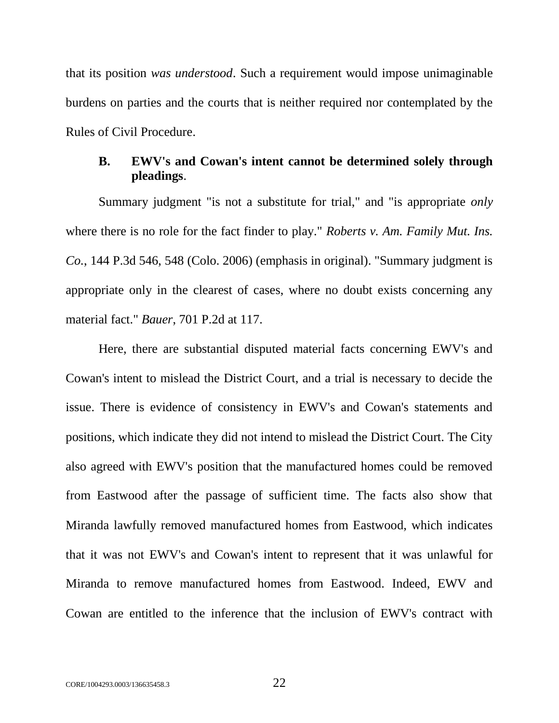that its position *was understood*. Such a requirement would impose unimaginable burdens on parties and the courts that is neither required nor contemplated by the Rules of Civil Procedure.

### <span id="page-26-2"></span><span id="page-26-0"></span>**B. EWV's and Cowan's intent cannot be determined solely through pleadings**.

Summary judgment "is not a substitute for trial," and "is appropriate *only* where there is no role for the fact finder to play." *Roberts v. Am. Family Mut. Ins. Co.*, 144 P.3d 546, 548 (Colo. 2006) (emphasis in original). "Summary judgment is appropriate only in the clearest of cases, where no doubt exists concerning any material fact." *Bauer*, 701 P.2d at 117.

<span id="page-26-1"></span>Here, there are substantial disputed material facts concerning EWV's and Cowan's intent to mislead the District Court, and a trial is necessary to decide the issue. There is evidence of consistency in EWV's and Cowan's statements and positions, which indicate they did not intend to mislead the District Court. The City also agreed with EWV's position that the manufactured homes could be removed from Eastwood after the passage of sufficient time. The facts also show that Miranda lawfully removed manufactured homes from Eastwood, which indicates that it was not EWV's and Cowan's intent to represent that it was unlawful for Miranda to remove manufactured homes from Eastwood. Indeed, EWV and Cowan are entitled to the inference that the inclusion of EWV's contract with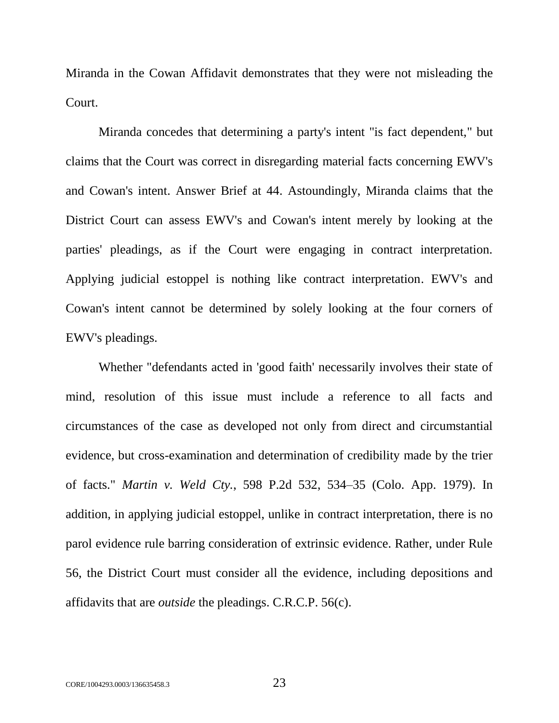Miranda in the Cowan Affidavit demonstrates that they were not misleading the Court.

Miranda concedes that determining a party's intent "is fact dependent," but claims that the Court was correct in disregarding material facts concerning EWV's and Cowan's intent. Answer Brief at 44. Astoundingly, Miranda claims that the District Court can assess EWV's and Cowan's intent merely by looking at the parties' pleadings, as if the Court were engaging in contract interpretation. Applying judicial estoppel is nothing like contract interpretation. EWV's and Cowan's intent cannot be determined by solely looking at the four corners of EWV's pleadings.

<span id="page-27-0"></span>Whether "defendants acted in 'good faith' necessarily involves their state of mind, resolution of this issue must include a reference to all facts and circumstances of the case as developed not only from direct and circumstantial evidence, but cross-examination and determination of credibility made by the trier of facts." *Martin v. Weld Cty.*, 598 P.2d 532, 534–35 (Colo. App. 1979). In addition, in applying judicial estoppel, unlike in contract interpretation, there is no parol evidence rule barring consideration of extrinsic evidence. Rather, under Rule 56, the District Court must consider all the evidence, including depositions and affidavits that are *outside* the pleadings. C.R.C.P. 56(c).

<span id="page-27-1"></span>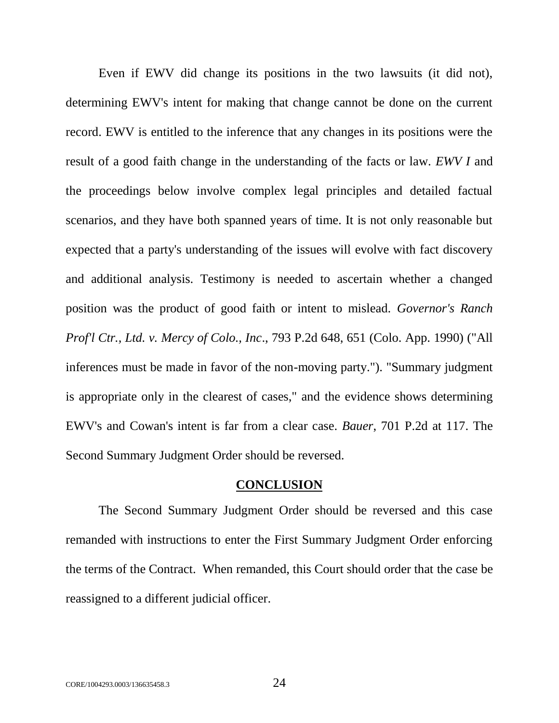Even if EWV did change its positions in the two lawsuits (it did not), determining EWV's intent for making that change cannot be done on the current record. EWV is entitled to the inference that any changes in its positions were the result of a good faith change in the understanding of the facts or law. *EWV I* and the proceedings below involve complex legal principles and detailed factual scenarios, and they have both spanned years of time. It is not only reasonable but expected that a party's understanding of the issues will evolve with fact discovery and additional analysis. Testimony is needed to ascertain whether a changed position was the product of good faith or intent to mislead. *Governor's Ranch Prof'l Ctr., Ltd. v. Mercy of Colo., Inc*., 793 P.2d 648, 651 (Colo. App. 1990) ("All inferences must be made in favor of the non-moving party."). "Summary judgment is appropriate only in the clearest of cases," and the evidence shows determining EWV's and Cowan's intent is far from a clear case. *Bauer*, 701 P.2d at 117. The Second Summary Judgment Order should be reversed.

### <span id="page-28-2"></span><span id="page-28-1"></span>**CONCLUSION**

<span id="page-28-0"></span>The Second Summary Judgment Order should be reversed and this case remanded with instructions to enter the First Summary Judgment Order enforcing the terms of the Contract. When remanded, this Court should order that the case be reassigned to a different judicial officer.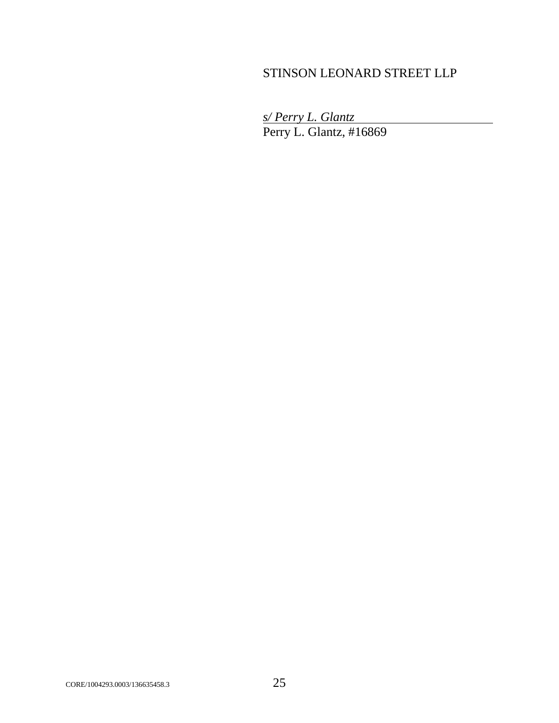# STINSON LEONARD STREET LLP

*s/ Perry L. Glantz* Perry L. Glantz, #16869